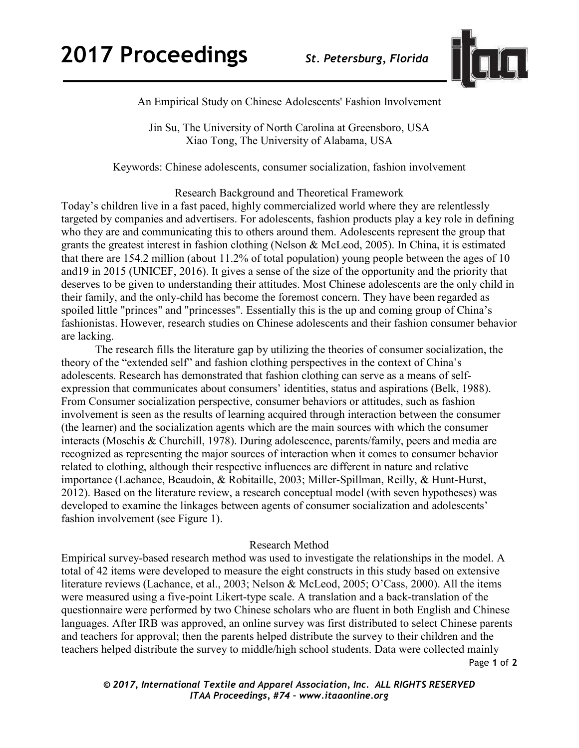

An Empirical Study on Chinese Adolescents' Fashion Involvement

Jin Su, The University of North Carolina at Greensboro, USA Xiao Tong, The University of Alabama, USA

Keywords: Chinese adolescents, consumer socialization, fashion involvement

Research Background and Theoretical Framework

Today's children live in a fast paced, highly commercialized world where they are relentlessly targeted by companies and advertisers. For adolescents, fashion products play a key role in defining who they are and communicating this to others around them. Adolescents represent the group that grants the greatest interest in fashion clothing (Nelson & McLeod, 2005). In China, it is estimated that there are 154.2 million (about 11.2% of total population) young people between the ages of 10 and19 in 2015 (UNICEF, 2016). It gives a sense of the size of the opportunity and the priority that deserves to be given to understanding their attitudes. Most Chinese adolescents are the only child in their family, and the only-child has become the foremost concern. They have been regarded as spoiled little "princes" and "princesses". Essentially this is the up and coming group of China's fashionistas. However, research studies on Chinese adolescents and their fashion consumer behavior are lacking.

The research fills the literature gap by utilizing the theories of consumer socialization, the theory of the "extended self" and fashion clothing perspectives in the context of China's adolescents. Research has demonstrated that fashion clothing can serve as a means of selfexpression that communicates about consumers' identities, status and aspirations (Belk, 1988). From Consumer socialization perspective, consumer behaviors or attitudes, such as fashion involvement is seen as the results of learning acquired through interaction between the consumer (the learner) and the socialization agents which are the main sources with which the consumer interacts (Moschis & Churchill, 1978). During adolescence, parents/family, peers and media are recognized as representing the major sources of interaction when it comes to consumer behavior related to clothing, although their respective influences are different in nature and relative importance (Lachance, Beaudoin, & Robitaille, 2003; Miller-Spillman, Reilly, & Hunt-Hurst, 2012). Based on the literature review, a research conceptual model (with seven hypotheses) was developed to examine the linkages between agents of consumer socialization and adolescents' fashion involvement (see Figure 1).

## Research Method

Page **1** of **2** Empirical survey-based research method was used to investigate the relationships in the model. A total of 42 items were developed to measure the eight constructs in this study based on extensive literature reviews (Lachance, et al., 2003; Nelson & McLeod, 2005; O'Cass, 2000). All the items were measured using a five-point Likert-type scale. A translation and a back-translation of the questionnaire were performed by two Chinese scholars who are fluent in both English and Chinese languages. After IRB was approved, an online survey was first distributed to select Chinese parents and teachers for approval; then the parents helped distribute the survey to their children and the teachers helped distribute the survey to middle/high school students. Data were collected mainly

*© 2017, International Textile and Apparel Association, Inc. ALL RIGHTS RESERVED ITAA Proceedings, #74 – www.itaaonline.org*